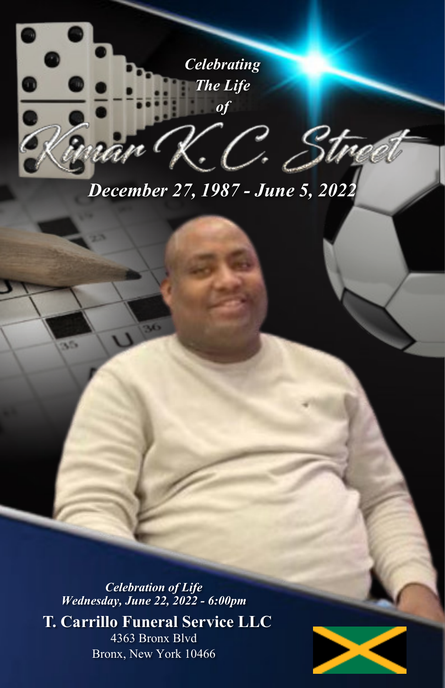

## *December 27, 1987 - June 5, 2022*

*Celebration of Life Wednesday, June 22, 2022 - 6:00pm*

**T. Carrillo Funeral Service LLC** 4363 Bronx Blvd Bronx, New York 10466

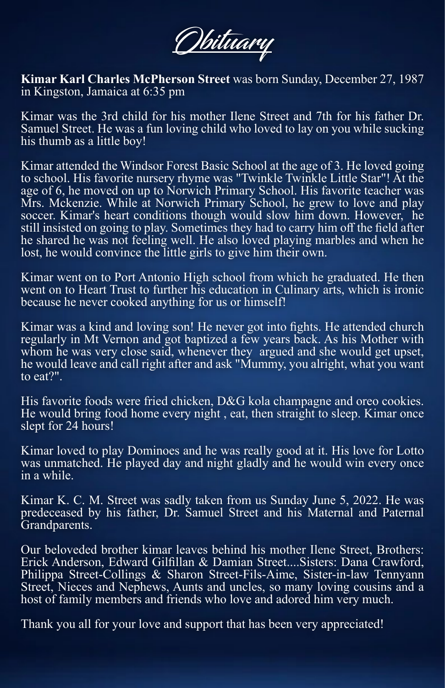Obituary

**Kimar Karl Charles McPherson Street** was born Sunday, December 27, 1987 in Kingston, Jamaica at 6:35 pm

Kimar was the 3rd child for his mother Ilene Street and 7th for his father Dr. Samuel Street. He was a fun loving child who loved to lay on you while sucking his thumb as a little boy!

Kimar attended the Windsor Forest Basic School at the age of 3. He loved going to school. His favorite nursery rhyme was "Twinkle Twinkle Little Star"! At the age of 6, he moved on up to Norwich Primary School. His favorite teacher was Mrs. Mckenzie. While at Norwich Primary School, he grew to love and play soccer. Kimar's heart conditions though would slow him down. However, he still insisted on going to play. Sometimes they had to carry him off the field after he shared he was not feeling well. He also loved playing marbles and when he lost, he would convince the little girls to give him their own.

Kimar went on to Port Antonio High school from which he graduated. He then went on to Heart Trust to further his education in Culinary arts, which is ironic because he never cooked anything for us or himself!

Kimar was a kind and loving son! He never got into fights. He attended church regularly in Mt Vernon and got baptized a few years back. As his Mother with whom he was very close said, whenever they argued and she would get upset, he would leave and call right after and ask "Mummy, you alright, what you want to eat?".

His favorite foods were fried chicken, D&G kola champagne and oreo cookies. He would bring food home every night , eat, then straight to sleep. Kimar once slept for 24 hours!

Kimar loved to play Dominoes and he was really good at it. His love for Lotto was unmatched. He played day and night gladly and he would win every once in a while.

Kimar K. C. M. Street was sadly taken from us Sunday June 5, 2022. He was predeceased by his father, Dr. Samuel Street and his Maternal and Paternal Grandparents.

Our beloveded brother kimar leaves behind his mother Ilene Street, Brothers: Erick Anderson, Edward Gilfillan & Damian Street....Sisters: Dana Crawford, Philippa Street-Collings & Sharon Street-Fils-Aime, Sister-in-law Tennyann Street, Nieces and Nephews, Aunts and uncles, so many loving cousins and a host of family members and friends who love and adored him very much.

Thank you all for your love and support that has been very appreciated!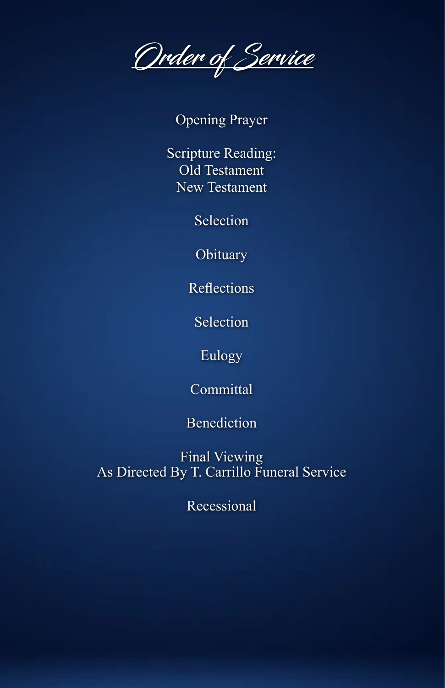Order of Service

Opening Prayer

Scripture Reading: Old Testament New Testament

Selection

**Obituary** 

Reflections

Selection

Eulogy

Committal

Benediction

Final Viewing As Directed By T. Carrillo Funeral Service

Recessional